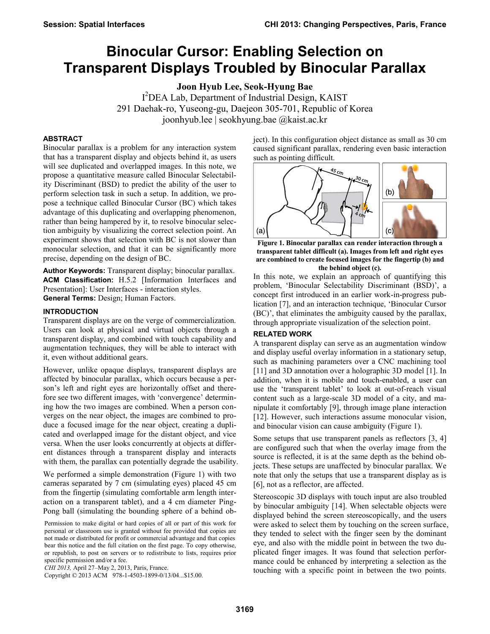# **Binocular Cursor: Enabling Selection on Transparent Displays Troubled by Binocular Parallax**

**Joon Hyub Lee, Seok-Hyung Bae** 

I <sup>2</sup>DEA Lab, Department of Industrial Design, KAIST 291 Daehak-ro, Yuseong-gu, Daejeon 305-701, Republic of Korea joonhyub.lee | seokhyung.bae @kaist.ac.kr

# **ABSTRACT**

Binocular parallax is a problem for any interaction system that has a transparent display and objects behind it, as users will see duplicated and overlapped images. In this note, we propose a quantitative measure called Binocular Selectability Discriminant (BSD) to predict the ability of the user to perform selection task in such a setup. In addition, we propose a technique called Binocular Cursor (BC) which takes advantage of this duplicating and overlapping phenomenon, rather than being hampered by it, to resolve binocular selection ambiguity by visualizing the correct selection point. An experiment shows that selection with BC is not slower than monocular selection, and that it can be significantly more precise, depending on the design of BC.

**Author Keywords:** Transparent display; binocular parallax. **ACM Classification:** H.5.2 [Information Interfaces and Presentation]: User Interfaces - interaction styles. **General Terms:** Design; Human Factors.

### **INTRODUCTION**

Transparent displays are on the verge of commercialization. Users can look at physical and virtual objects through a transparent display, and combined with touch capability and augmentation techniques, they will be able to interact with it, even without additional gears.

However, unlike opaque displays, transparent displays are affected by binocular parallax, which occurs because a person's left and right eyes are horizontally offset and therefore see two different images, with 'convergence' determining how the two images are combined. When a person converges on the near object, the images are combined to produce a focused image for the near object, creating a duplicated and overlapped image for the distant object, and vice versa. When the user looks concurrently at objects at different distances through a transparent display and interacts with them, the parallax can potentially degrade the usability.

We performed a simple demonstration [\(Figure 1\)](#page-0-0) with two cameras separated by 7 cm (simulating eyes) placed 45 cm from the fingertip (simulating comfortable arm length interaction on a transparent tablet), and a 4 cm diameter Ping-Pong ball (simulating the bounding sphere of a behind ob-

Copyright © 2013 ACM 978-1-4503-1899-0/13/04...\$15.00.

ject). In this configuration object distance as small as 30 cm caused significant parallax, rendering even basic interaction such as pointing difficult.



<span id="page-0-0"></span>**Figure 1. Binocular parallax can render interaction through a transparent tablet difficult (a). Images from left and right eyes are combined to create focused images for the fingertip (b) and the behind object (c).** 

In this note, we explain an approach of quantifying this problem, 'Binocular Selectability Discriminant (BSD)', a concept first introduced in an earlier work-in-progress publication [\[7\]](#page-3-0), and an interaction technique, 'Binocular Cursor (BC)', that eliminates the ambiguity caused by the parallax, through appropriate visualization of the selection point.

# **RELATED WORK**

A transparent display can serve as an augmentation window and display useful overlay information in a stationary setup, such as machining parameters over a CNC machining tool [\[11\]](#page-3-1) and 3D annotation over a holographic 3D model [\[1\]](#page-3-2). In addition, when it is mobile and touch-enabled, a user can use the 'transparent tablet' to look at out-of-reach visual content such as a large-scale 3D model of a city, and manipulate it comfortably [\[9\]](#page-3-3), through image plane interaction [\[12\]](#page-3-4). However, such interactions assume monocular vision, and binocular vision can cause ambiguity [\(Figure 1\)](#page-0-0).

Some setups that use transparent panels as reflectors [\[3,](#page-3-5) [4\]](#page-3-6) are configured such that when the overlay image from the source is reflected, it is at the same depth as the behind objects. These setups are unaffected by binocular parallax. We note that only the setups that use a transparent display as is [\[6\]](#page-3-7), not as a reflector, are affected.

Stereoscopic 3D displays with touch input are also troubled by binocular ambiguity [\[14\]](#page-3-8). When selectable objects were displayed behind the screen stereoscopically, and the users were asked to select them by touching on the screen surface, they tended to select with the finger seen by the dominant eye, and also with the middle point in between the two duplicated finger images. It was found that selection performance could be enhanced by interpreting a selection as the touching with a specific point in between the two points.

Permission to make digital or hard copies of all or part of this work for personal or classroom use is granted without fee provided that copies are not made or distributed for profit or commercial advantage and that copies bear this notice and the full citation on the first page. To copy otherwise, or republish, to post on servers or to redistribute to lists, requires prior specific permission and/or a fee.

*CHI 2013,* April 27–May 2, 2013, Paris, France.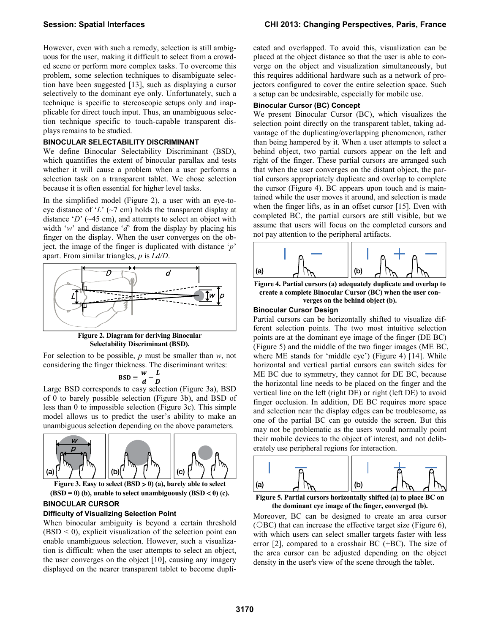However, even with such a remedy, selection is still ambiguous for the user, making it difficult to select from a crowded scene or perform more complex tasks. To overcome this problem, some selection techniques to disambiguate selection have been suggested [\[13\]](#page-3-9), such as displaying a cursor selectively to the dominant eye only. Unfortunately, such a technique is specific to stereoscopic setups only and inapplicable for direct touch input. Thus, an unambiguous selection technique specific to touch-capable transparent displays remains to be studied.

# **BINOCULAR SELECTABILITY DISCRIMINANT**

We define Binocular Selectability Discriminant (BSD), which quantifies the extent of binocular parallax and tests whether it will cause a problem when a user performs a selection task on a transparent tablet. We chose selection because it is often essential for higher level tasks.

In the simplified model [\(Figure 2\)](#page-1-0), a user with an eye-toeye distance of '*L*' (~7 cm) holds the transparent display at distance '*D*' (~45 cm), and attempts to select an object with width '*w*' and distance '*d*' from the display by placing his finger on the display. When the user converges on the object, the image of the finger is duplicated with distance '*p*' apart. From similar triangles, *p* is *Ld/D*.



**Figure 2. Diagram for deriving Binocular Selectability Discriminant (BSD).** 

<span id="page-1-0"></span>For selection to be possible, *p* must be smaller than *w*, not considering the finger thickness. The discriminant writes:

$$
\text{BSD} \equiv \frac{w}{d} - \frac{L}{D}
$$

Large BSD corresponds to easy selection [\(Figure 3a](#page-1-1)), BSD of 0 to barely possible selection [\(Figure 3b](#page-1-1)), and BSD of less than 0 to impossible selection [\(Figure 3c](#page-1-1)). This simple model allows us to predict the user's ability to make an unambiguous selection depending on the above parameters.



<span id="page-1-1"></span>**(BSD = 0) (b), unable to select unambiguously (BSD 0) (c).** 

# **BINOCULAR CURSOR**

#### **Difficulty of Visualizing Selection Point**

When binocular ambiguity is beyond a certain threshold  $(BSD < 0)$ , explicit visualization of the selection point can enable unambiguous selection. However, such a visualization is difficult: when the user attempts to select an object, the user converges on the object [\[10\]](#page-3-10), causing any imagery displayed on the nearer transparent tablet to become duplicated and overlapped. To avoid this, visualization can be placed at the object distance so that the user is able to converge on the object and visualization simultaneously, but this requires additional hardware such as a network of projectors configured to cover the entire selection space. Such a setup can be undesirable, especially for mobile use.

# **Binocular Cursor (BC) Concept**

We present Binocular Cursor (BC), which visualizes the selection point directly on the transparent tablet, taking advantage of the duplicating/overlapping phenomenon, rather than being hampered by it. When a user attempts to select a behind object, two partial cursors appear on the left and right of the finger. These partial cursors are arranged such that when the user converges on the distant object, the partial cursors appropriately duplicate and overlap to complete the cursor [\(Figure 4\)](#page-1-2). BC appears upon touch and is maintained while the user moves it around, and selection is made when the finger lifts, as in an offset cursor [\[15\]](#page-3-11). Even with completed BC, the partial cursors are still visible, but we assume that users will focus on the completed cursors and not pay attention to the peripheral artifacts.



<span id="page-1-2"></span>**Figure 4. Partial cursors (a) adequately duplicate and overlap to create a complete Binocular Cursor (BC) when the user converges on the behind object (b).** 

#### **Binocular Cursor Design**

Partial cursors can be horizontally shifted to visualize different selection points. The two most intuitive selection points are at the dominant eye image of the finger (DE BC) [\(Figure 5\)](#page-1-3) and the middle of the two finger images (ME BC, where ME stands for 'middle eye') [\(Figure 4\)](#page-1-2) [\[14\]](#page-3-8). While horizontal and vertical partial cursors can switch sides for ME BC due to symmetry, they cannot for DE BC, because the horizontal line needs to be placed on the finger and the vertical line on the left (right DE) or right (left DE) to avoid finger occlusion. In addition, DE BC requires more space and selection near the display edges can be troublesome, as one of the partial BC can go outside the screen. But this may not be problematic as the users would normally point their mobile devices to the object of interest, and not deliberately use peripheral regions for interaction.



<span id="page-1-3"></span>**Figure 5. Partial cursors horizontally shifted (a) to place BC on the dominant eye image of the finger, converged (b).** 

Moreover, BC can be designed to create an area cursor ( $\triangle$ BC) that can increase the effective target size [\(Figure 6\)](#page-2-0), with which users can select smaller targets faster with less error [\[2\]](#page-3-12), compared to a crosshair BC (+BC). The size of the area cursor can be adjusted depending on the object density in the user's view of the scene through the tablet.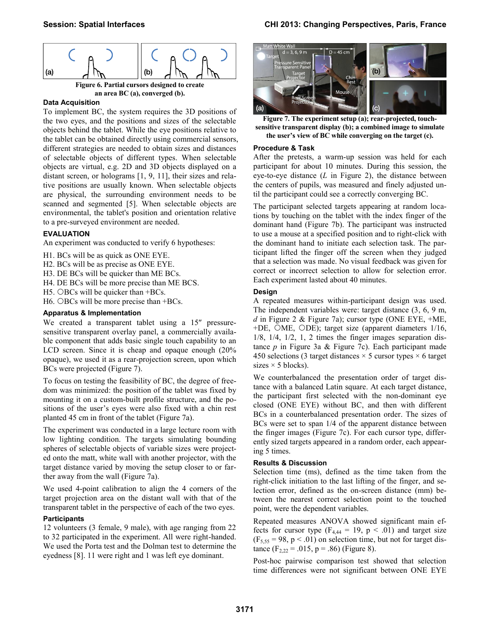

# **an area BC (a), converged (b).**

#### <span id="page-2-0"></span>**Data Acquisition**

To implement BC, the system requires the 3D positions of the two eyes, and the positions and sizes of the selectable objects behind the tablet. While the eye positions relative to the tablet can be obtained directly using commercial sensors, different strategies are needed to obtain sizes and distances of selectable objects of different types. When selectable objects are virtual, e.g. 2D and 3D objects displayed on a distant screen, or holograms [\[1,](#page-3-2) [9,](#page-3-3) [11\]](#page-3-1), their sizes and relative positions are usually known. When selectable objects are physical, the surrounding environment needs to be scanned and segmented [\[5\]](#page-3-13). When selectable objects are environmental, the tablet's position and orientation relative to a pre-surveyed environment are needed.

### **EVALUATION**

An experiment was conducted to verify 6 hypotheses:

- H1. BCs will be as quick as ONE EYE.
- H2. BCs will be as precise as ONE EYE.
- H3. DE BCs will be quicker than ME BCs.
- H4. DE BCs will be more precise than ME BCS.
- H5. OBCs will be quicker than  $+BCs$ .
- H6. OBCs will be more precise than  $+BCs$ .

## **Apparatus & Implementation**

We created a transparent tablet using a  $15$ " pressuresensitive transparent overlay panel, a commercially available component that adds basic single touch capability to an LCD screen. Since it is cheap and opaque enough (20% opaque), we used it as a rear-projection screen, upon which BCs were projected [\(Figure 7\)](#page-2-1).

To focus on testing the feasibility of BC, the degree of freedom was minimized: the position of the tablet was fixed by mounting it on a custom-built profile structure, and the positions of the user's eyes were also fixed with a chin rest planted 45 cm in front of the tablet [\(Figure 7a](#page-2-1)).

The experiment was conducted in a large lecture room with low lighting condition. The targets simulating bounding spheres of selectable objects of variable sizes were projected onto the matt, white wall with another projector, with the target distance varied by moving the setup closer to or farther away from the wall [\(Figure 7a](#page-2-1)).

We used 4-point calibration to align the 4 corners of the target projection area on the distant wall with that of the transparent tablet in the perspective of each of the two eyes.

#### **Participants**

12 volunteers (3 female, 9 male), with age ranging from 22 to 32 participated in the experiment. All were right-handed. We used the Porta test and the Dolman test to determine the eyedness [\[8\]](#page-3-14). 11 were right and 1 was left eye dominant.



**Figure 7. The experiment setup (a); rear-projected, touchsensitive transparent display (b); a combined image to simulate the user's view of BC while converging on the target (c).** 

#### <span id="page-2-1"></span>**Procedure & Task**

After the pretests, a warm-up session was held for each participant for about 10 minutes. During this session, the eye-to-eye distance (*L* in [Figure 2\)](#page-1-0), the distance between the centers of pupils, was measured and finely adjusted until the participant could see a correctly converging BC.

The participant selected targets appearing at random locations by touching on the tablet with the index finger of the dominant hand [\(Figure 7b](#page-2-1)). The participant was instructed to use a mouse at a specified position and to right-click with the dominant hand to initiate each selection task. The participant lifted the finger off the screen when they judged that a selection was made. No visual feedback was given for correct or incorrect selection to allow for selection error. Each experiment lasted about 40 minutes.

#### **Design**

A repeated measures within-participant design was used. The independent variables were: target distance (3, 6, 9 m, *d* in [Figure 2](#page-1-0) & [Figure 7a](#page-2-1)); cursor type (ONE EYE, +ME, +DE, OME, ODE); target size (apparent diameters  $1/16$ , 1/8, 1/4, 1/2, 1, 2 times the finger images separation distance *p* in [Figure 3a](#page-1-1) & [Figure 7c](#page-2-1)). Each participant made 450 selections (3 target distances  $\times$  5 cursor types  $\times$  6 target sizes  $\times$  5 blocks).

We counterbalanced the presentation order of target distance with a balanced Latin square. At each target distance, the participant first selected with the non-dominant eye closed (ONE EYE) without BC, and then with different BCs in a counterbalanced presentation order. The sizes of BCs were set to span 1/4 of the apparent distance between the finger images [\(Figure 7c](#page-2-1)). For each cursor type, differently sized targets appeared in a random order, each appearing 5 times.

### **Results & Discussion**

Selection time (ms), defined as the time taken from the right-click initiation to the last lifting of the finger, and selection error, defined as the on-screen distance (mm) between the nearest correct selection point to the touched point, were the dependent variables.

Repeated measures ANOVA showed significant main effects for cursor type ( $F_{4,44} = 19$ ,  $p < .01$ ) and target size  $(F_{5,55} = 98, p < .01)$  on selection time, but not for target distance  $(F_{2,22} = .015, p = .86)$  [\(Figure 8\)](#page-3-15).

Post-hoc pairwise comparison test showed that selection time differences were not significant between ONE EYE